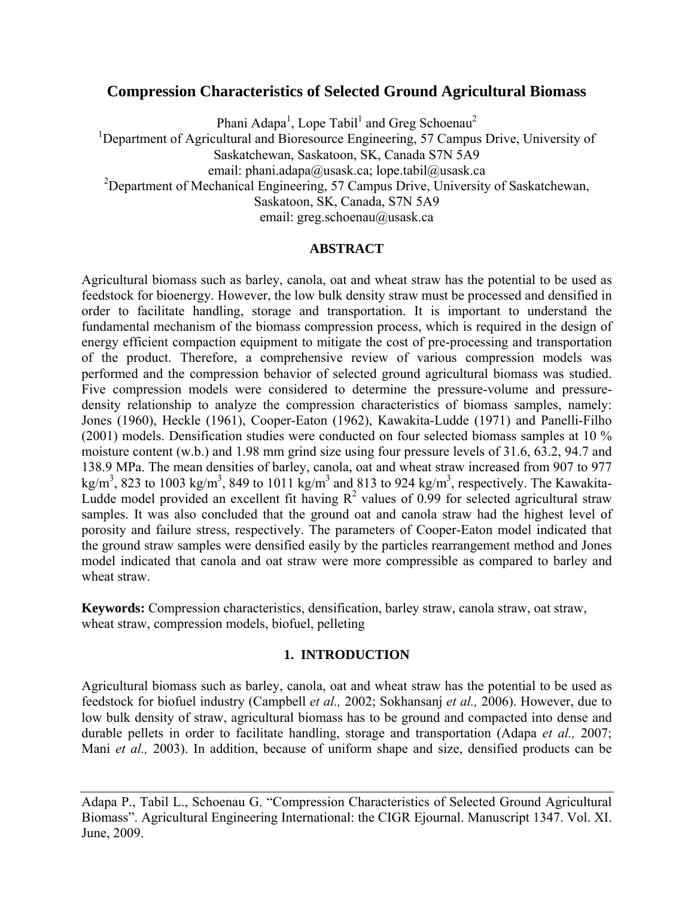# **Compression Characteristics of Selected Ground Agricultural Biomass**

Phani Adapa<sup>1</sup>, Lope Tabil<sup>1</sup> and Greg Schoenau<sup>2</sup>

<sup>1</sup>Department of Agricultural and Bioresource Engineering, 57 Campus Drive, University of Saskatchewan, Saskatoon, SK, Canada S7N 5A9

email: phani.adapa@usask.ca; lope.tabil@usask.ca

<sup>2</sup>Department of Mechanical Engineering, 57 Campus Drive, University of Saskatchewan,

Saskatoon, SK, Canada, S7N 5A9

email: greg.schoenau@usask.ca

## **ABSTRACT**

Agricultural biomass such as barley, canola, oat and wheat straw has the potential to be used as feedstock for bioenergy. However, the low bulk density straw must be processed and densified in order to facilitate handling, storage and transportation. It is important to understand the fundamental mechanism of the biomass compression process, which is required in the design of energy efficient compaction equipment to mitigate the cost of pre-processing and transportation of the product. Therefore, a comprehensive review of various compression models was performed and the compression behavior of selected ground agricultural biomass was studied. Five compression models were considered to determine the pressure-volume and pressuredensity relationship to analyze the compression characteristics of biomass samples, namely: Jones (1960), Heckle (1961), Cooper-Eaton (1962), Kawakita-Ludde (1971) and Panelli-Filho (2001) models. Densification studies were conducted on four selected biomass samples at 10 % moisture content (w.b.) and 1.98 mm grind size using four pressure levels of 31.6, 63.2, 94.7 and 138.9 MPa. The mean densities of barley, canola, oat and wheat straw increased from 907 to 977 kg/m<sup>3</sup>, 823 to 1003 kg/m<sup>3</sup>, 849 to 1011 kg/m<sup>3</sup> and 813 to 924 kg/m<sup>3</sup>, respectively. The Kawakita-Ludde model provided an excellent fit having  $R^2$  values of 0.99 for selected agricultural straw samples. It was also concluded that the ground oat and canola straw had the highest level of porosity and failure stress, respectively. The parameters of Cooper-Eaton model indicated that the ground straw samples were densified easily by the particles rearrangement method and Jones model indicated that canola and oat straw were more compressible as compared to barley and wheat straw.

**Keywords:** Compression characteristics, densification, barley straw, canola straw, oat straw, wheat straw, compression models, biofuel, pelleting

## **1. INTRODUCTION**

Agricultural biomass such as barley, canola, oat and wheat straw has the potential to be used as feedstock for biofuel industry (Campbell *et al.,* 2002; Sokhansanj *et al.,* 2006). However, due to low bulk density of straw, agricultural biomass has to be ground and compacted into dense and durable pellets in order to facilitate handling, storage and transportation (Adapa *et al.,* 2007; Mani *et al.,* 2003). In addition, because of uniform shape and size, densified products can be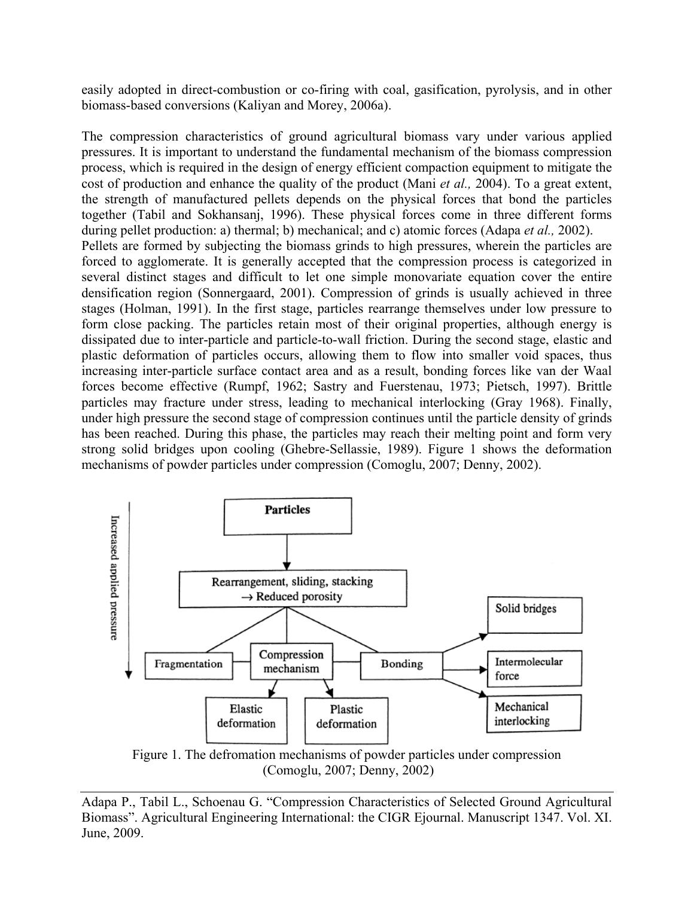easily adopted in direct-combustion or co-firing with coal, gasification, pyrolysis, and in other biomass-based conversions (Kaliyan and Morey, 2006a).

The compression characteristics of ground agricultural biomass vary under various applied pressures. It is important to understand the fundamental mechanism of the biomass compression process, which is required in the design of energy efficient compaction equipment to mitigate the cost of production and enhance the quality of the product (Mani *et al.,* 2004). To a great extent, the strength of manufactured pellets depends on the physical forces that bond the particles together (Tabil and Sokhansanj, 1996). These physical forces come in three different forms during pellet production: a) thermal; b) mechanical; and c) atomic forces (Adapa *et al.,* 2002). Pellets are formed by subjecting the biomass grinds to high pressures, wherein the particles are forced to agglomerate. It is generally accepted that the compression process is categorized in several distinct stages and difficult to let one simple monovariate equation cover the entire densification region (Sonnergaard, 2001). Compression of grinds is usually achieved in three stages (Holman, 1991). In the first stage, particles rearrange themselves under low pressure to form close packing. The particles retain most of their original properties, although energy is dissipated due to inter-particle and particle-to-wall friction. During the second stage, elastic and plastic deformation of particles occurs, allowing them to flow into smaller void spaces, thus increasing inter-particle surface contact area and as a result, bonding forces like van der Waal forces become effective (Rumpf, 1962; Sastry and Fuerstenau, 1973; Pietsch, 1997). Brittle particles may fracture under stress, leading to mechanical interlocking (Gray 1968). Finally, under high pressure the second stage of compression continues until the particle density of grinds has been reached. During this phase, the particles may reach their melting point and form very strong solid bridges upon cooling (Ghebre-Sellassie, 1989). Figure 1 shows the deformation mechanisms of powder particles under compression (Comoglu, 2007; Denny, 2002).



Figure 1. The defromation mechanisms of powder particles under compression (Comoglu, 2007; Denny, 2002)

Adapa P., Tabil L., Schoenau G. "Compression Characteristics of Selected Ground Agricultural Biomass". Agricultural Engineering International: the CIGR Ejournal. Manuscript 1347. Vol. XI. June, 2009.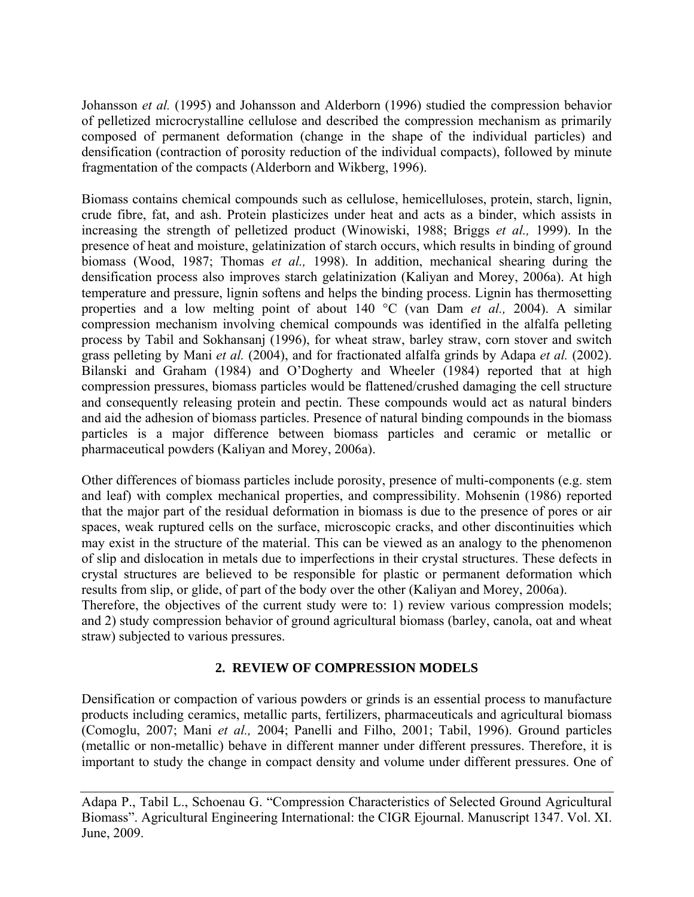Johansson *et al.* (1995) and Johansson and Alderborn (1996) studied the compression behavior of pelletized microcrystalline cellulose and described the compression mechanism as primarily composed of permanent deformation (change in the shape of the individual particles) and densification (contraction of porosity reduction of the individual compacts), followed by minute fragmentation of the compacts (Alderborn and Wikberg, 1996).

Biomass contains chemical compounds such as cellulose, hemicelluloses, protein, starch, lignin, crude fibre, fat, and ash. Protein plasticizes under heat and acts as a binder, which assists in increasing the strength of pelletized product (Winowiski, 1988; Briggs *et al.,* 1999). In the presence of heat and moisture, gelatinization of starch occurs, which results in binding of ground biomass (Wood, 1987; Thomas *et al.,* 1998). In addition, mechanical shearing during the densification process also improves starch gelatinization (Kaliyan and Morey, 2006a). At high temperature and pressure, lignin softens and helps the binding process. Lignin has thermosetting properties and a low melting point of about 140 °C (van Dam *et al.,* 2004). A similar compression mechanism involving chemical compounds was identified in the alfalfa pelleting process by Tabil and Sokhansanj (1996), for wheat straw, barley straw, corn stover and switch grass pelleting by Mani *et al.* (2004), and for fractionated alfalfa grinds by Adapa *et al.* (2002). Bilanski and Graham (1984) and O'Dogherty and Wheeler (1984) reported that at high compression pressures, biomass particles would be flattened/crushed damaging the cell structure and consequently releasing protein and pectin. These compounds would act as natural binders and aid the adhesion of biomass particles. Presence of natural binding compounds in the biomass particles is a major difference between biomass particles and ceramic or metallic or pharmaceutical powders (Kaliyan and Morey, 2006a).

Other differences of biomass particles include porosity, presence of multi-components (e.g. stem and leaf) with complex mechanical properties, and compressibility. Mohsenin (1986) reported that the major part of the residual deformation in biomass is due to the presence of pores or air spaces, weak ruptured cells on the surface, microscopic cracks, and other discontinuities which may exist in the structure of the material. This can be viewed as an analogy to the phenomenon of slip and dislocation in metals due to imperfections in their crystal structures. These defects in crystal structures are believed to be responsible for plastic or permanent deformation which results from slip, or glide, of part of the body over the other (Kaliyan and Morey, 2006a).

Therefore, the objectives of the current study were to: 1) review various compression models; and 2) study compression behavior of ground agricultural biomass (barley, canola, oat and wheat straw) subjected to various pressures.

# **2. REVIEW OF COMPRESSION MODELS**

Densification or compaction of various powders or grinds is an essential process to manufacture products including ceramics, metallic parts, fertilizers, pharmaceuticals and agricultural biomass (Comoglu, 2007; Mani *et al.,* 2004; Panelli and Filho, 2001; Tabil, 1996). Ground particles (metallic or non-metallic) behave in different manner under different pressures. Therefore, it is important to study the change in compact density and volume under different pressures. One of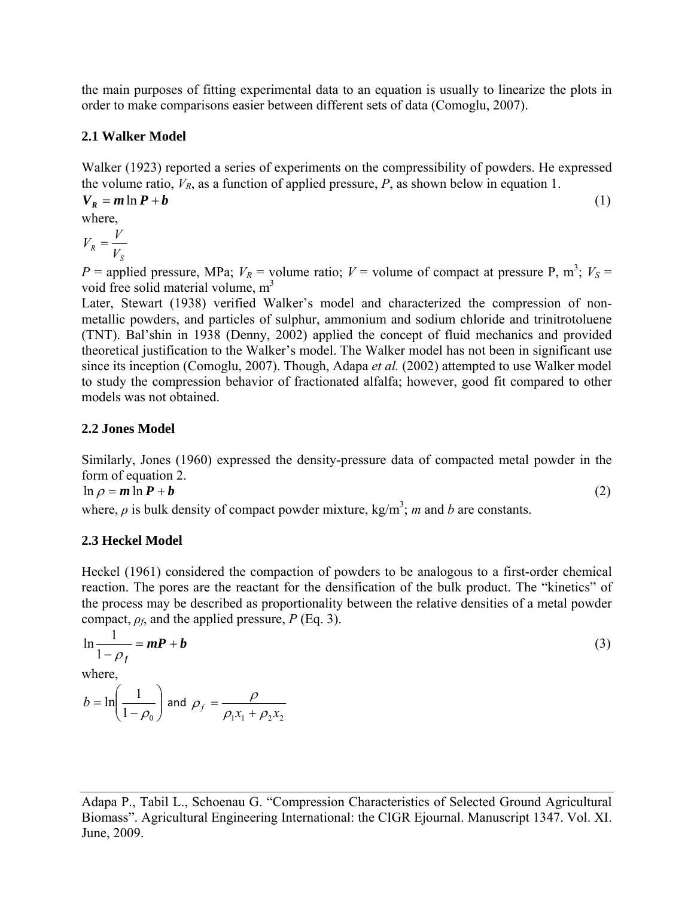the main purposes of fitting experimental data to an equation is usually to linearize the plots in order to make comparisons easier between different sets of data (Comoglu, 2007).

## **2.1 Walker Model**

Walker (1923) reported a series of experiments on the compressibility of powders. He expressed the volume ratio,  $V_R$ , as a function of applied pressure,  $P$ , as shown below in equation 1.

$$
V_R = m \ln P + b
$$
  
where,  

$$
V_R = \frac{V}{V_S}
$$
 (1)

 $P =$  applied pressure, MPa;  $V_R =$  volume ratio;  $V =$  volume of compact at pressure P, m<sup>3</sup>;  $V_S =$ void free solid material volume, m<sup>3</sup>

Later, Stewart (1938) verified Walker's model and characterized the compression of nonmetallic powders, and particles of sulphur, ammonium and sodium chloride and trinitrotoluene (TNT). Bal'shin in 1938 (Denny, 2002) applied the concept of fluid mechanics and provided theoretical justification to the Walker's model. The Walker model has not been in significant use since its inception (Comoglu, 2007). Though, Adapa *et al.* (2002) attempted to use Walker model to study the compression behavior of fractionated alfalfa; however, good fit compared to other models was not obtained.

## **2.2 Jones Model**

Similarly, Jones (1960) expressed the density-pressure data of compacted metal powder in the form of equation 2.

$$
\ln \rho = m \ln P + b \tag{2}
$$

where,  $\rho$  is bulk density of compact powder mixture, kg/m<sup>3</sup>; *m* and *b* are constants.

# **2.3 Heckel Model**

Heckel (1961) considered the compaction of powders to be analogous to a first-order chemical reaction. The pores are the reactant for the densification of the bulk product. The "kinetics" of the process may be described as proportionality between the relative densities of a metal powder compact,  $\rho_f$ , and the applied pressure, *P* (Eq. 3).

$$
\ln \frac{1}{1 - \rho_f} = mP + b
$$
  
where,  

$$
b = \ln \left( \frac{1}{1 - \rho_0} \right)
$$
 and  $\rho_f = \frac{\rho}{\rho_1 x_1 + \rho_2 x_2}$  (3)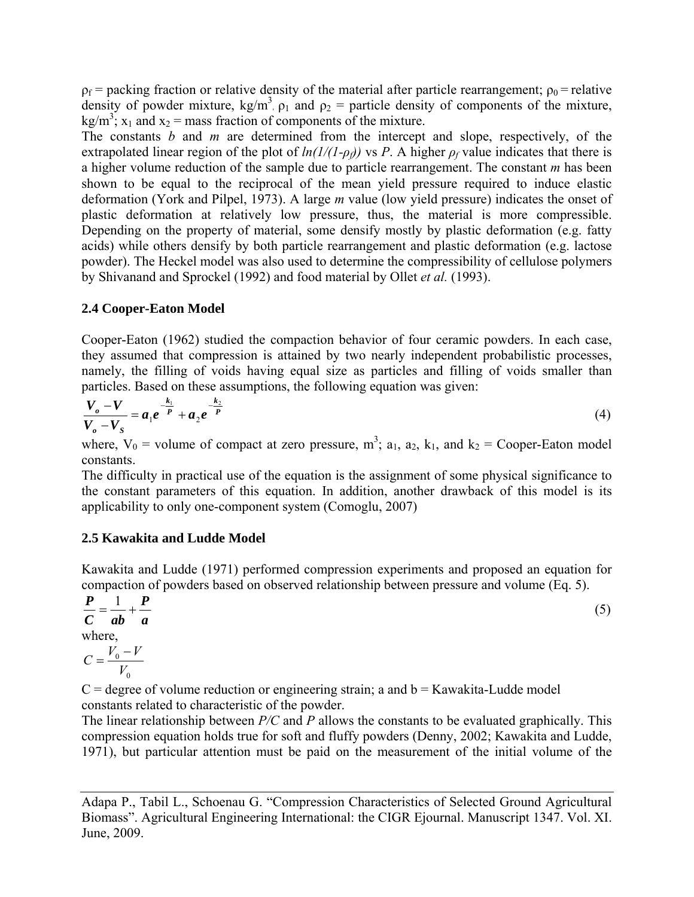$p_f$  = packing fraction or relative density of the material after particle rearrangement;  $p_0$  = relative density of powder mixture,  $kg/m^3$ ,  $\rho_1$  and  $\rho_2$  = particle density of components of the mixture, kg/m<sup>3</sup>;  $x_1$  and  $x_2$  = mass fraction of components of the mixture.

The constants *b* and *m* are determined from the intercept and slope, respectively, of the extrapolated linear region of the plot of  $ln(1/(1-\rho_f))$  vs *P*. A higher  $\rho_f$  value indicates that there is a higher volume reduction of the sample due to particle rearrangement. The constant *m* has been shown to be equal to the reciprocal of the mean yield pressure required to induce elastic deformation (York and Pilpel, 1973). A large *m* value (low yield pressure) indicates the onset of plastic deformation at relatively low pressure, thus, the material is more compressible. Depending on the property of material, some densify mostly by plastic deformation (e.g. fatty acids) while others densify by both particle rearrangement and plastic deformation (e.g. lactose powder). The Heckel model was also used to determine the compressibility of cellulose polymers by Shivanand and Sprockel (1992) and food material by Ollet *et al.* (1993).

## **2.4 Cooper-Eaton Model**

Cooper-Eaton (1962) studied the compaction behavior of four ceramic powders. In each case, they assumed that compression is attained by two nearly independent probabilistic processes, namely, the filling of voids having equal size as particles and filling of voids smaller than particles. Based on these assumptions, the following equation was given:

$$
\frac{V_o - V}{V_o - V_S} = a_1 e^{-\frac{k_1}{P}} + a_2 e^{-\frac{k_2}{P}}
$$
 (4)

where,  $V_0$  = volume of compact at zero pressure, m<sup>3</sup>; a<sub>1</sub>, a<sub>2</sub>, k<sub>1</sub>, and k<sub>2</sub> = Cooper-Eaton model constants.

The difficulty in practical use of the equation is the assignment of some physical significance to the constant parameters of this equation. In addition, another drawback of this model is its applicability to only one-component system (Comoglu, 2007)

## **2.5 Kawakita and Ludde Model**

Kawakita and Ludde (1971) performed compression experiments and proposed an equation for compaction of powders based on observed relationship between pressure and volume (Eq. 5).

*a P abC*  $\frac{P}{q} = \frac{1}{1} +$  $\frac{1}{1} + \frac{P}{1}$  (5) where,  $\boldsymbol{0}$  $\boldsymbol{0}$ *V*  $C = \frac{V_0 - V}{V}$ 

 $C =$  degree of volume reduction or engineering strain; a and  $b =$  Kawakita-Ludde model constants related to characteristic of the powder.

The linear relationship between *P/C* and *P* allows the constants to be evaluated graphically. This compression equation holds true for soft and fluffy powders (Denny, 2002; Kawakita and Ludde, 1971), but particular attention must be paid on the measurement of the initial volume of the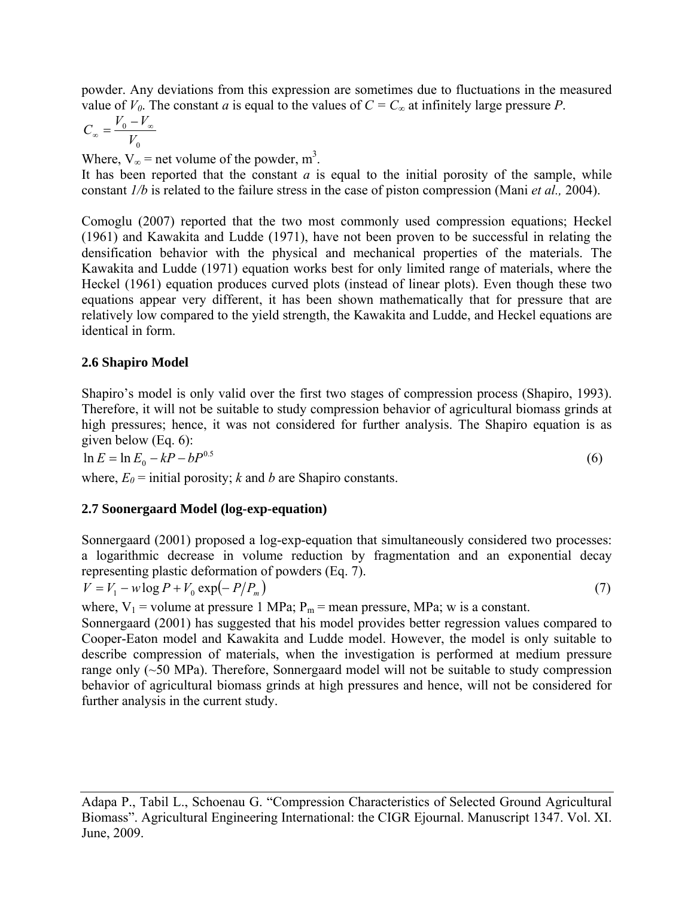powder. Any deviations from this expression are sometimes due to fluctuations in the measured value of  $V_0$ . The constant *a* is equal to the values of  $C = C_\infty$  at infinitely large pressure *P*.

$$
C_{\infty} = \frac{V_0 - V_{\infty}}{V_0}
$$

Where,  $V_{\infty}$  = net volume of the powder, m<sup>3</sup>.

It has been reported that the constant  $a$  is equal to the initial porosity of the sample, while constant *1/b* is related to the failure stress in the case of piston compression (Mani *et al.,* 2004).

Comoglu (2007) reported that the two most commonly used compression equations; Heckel (1961) and Kawakita and Ludde (1971), have not been proven to be successful in relating the densification behavior with the physical and mechanical properties of the materials. The Kawakita and Ludde (1971) equation works best for only limited range of materials, where the Heckel (1961) equation produces curved plots (instead of linear plots). Even though these two equations appear very different, it has been shown mathematically that for pressure that are relatively low compared to the yield strength, the Kawakita and Ludde, and Heckel equations are identical in form.

# **2.6 Shapiro Model**

Shapiro's model is only valid over the first two stages of compression process (Shapiro, 1993). Therefore, it will not be suitable to study compression behavior of agricultural biomass grinds at high pressures; hence, it was not considered for further analysis. The Shapiro equation is as given below (Eq. 6):

 $\ln E = \ln E_0 - kP - bP^{0.5}$  (6)

where,  $E_0$  = initial porosity; *k* and *b* are Shapiro constants.

# **2.7 Soonergaard Model (log-exp-equation)**

Sonnergaard (2001) proposed a log-exp-equation that simultaneously considered two processes: a logarithmic decrease in volume reduction by fragmentation and an exponential decay representing plastic deformation of powders (Eq. 7).

$$
V = V_1 - w \log P + V_0 \exp(-P/P_m)
$$
\n<sup>(7)</sup>

where,  $V_1$  = volume at pressure 1 MPa;  $P_m$  = mean pressure, MPa; w is a constant.

Sonnergaard (2001) has suggested that his model provides better regression values compared to Cooper-Eaton model and Kawakita and Ludde model. However, the model is only suitable to describe compression of materials, when the investigation is performed at medium pressure range only (~50 MPa). Therefore, Sonnergaard model will not be suitable to study compression behavior of agricultural biomass grinds at high pressures and hence, will not be considered for further analysis in the current study.

Adapa P., Tabil L., Schoenau G. "Compression Characteristics of Selected Ground Agricultural Biomass". Agricultural Engineering International: the CIGR Ejournal. Manuscript 1347. Vol. XI. June, 2009.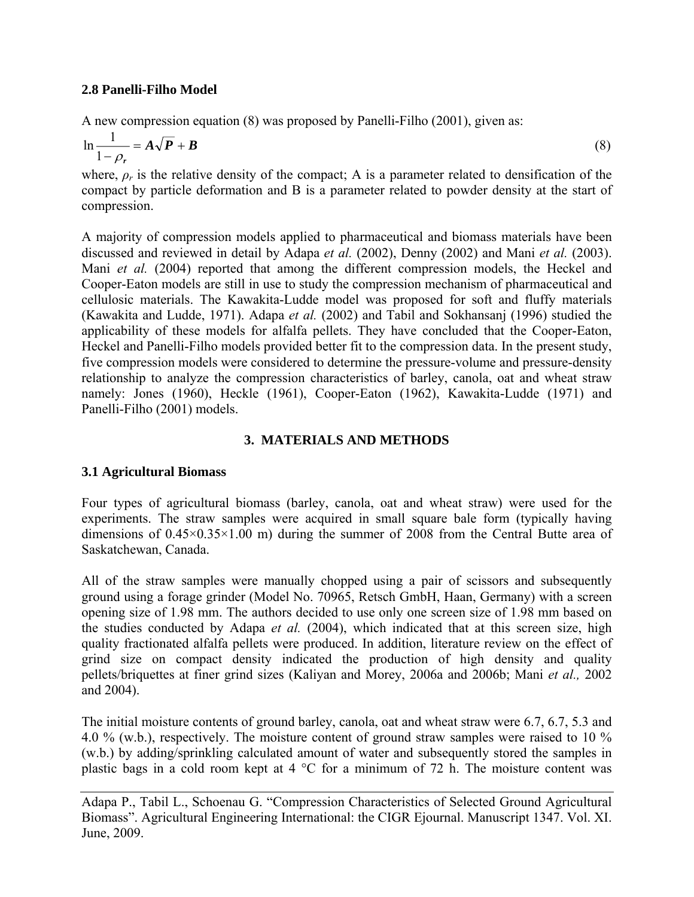## **2.8 Panelli-Filho Model**

A new compression equation (8) was proposed by Panelli-Filho (2001), given as:

$$
\ln \frac{1}{1 - \rho_r} = A \sqrt{P} + B \tag{8}
$$

where,  $\rho_r$  is the relative density of the compact; A is a parameter related to densification of the compact by particle deformation and B is a parameter related to powder density at the start of compression.

A majority of compression models applied to pharmaceutical and biomass materials have been discussed and reviewed in detail by Adapa *et al.* (2002), Denny (2002) and Mani *et al.* (2003). Mani *et al.* (2004) reported that among the different compression models, the Heckel and Cooper-Eaton models are still in use to study the compression mechanism of pharmaceutical and cellulosic materials. The Kawakita-Ludde model was proposed for soft and fluffy materials (Kawakita and Ludde, 1971). Adapa *et al.* (2002) and Tabil and Sokhansanj (1996) studied the applicability of these models for alfalfa pellets. They have concluded that the Cooper-Eaton, Heckel and Panelli-Filho models provided better fit to the compression data. In the present study, five compression models were considered to determine the pressure-volume and pressure-density relationship to analyze the compression characteristics of barley, canola, oat and wheat straw namely: Jones (1960), Heckle (1961), Cooper-Eaton (1962), Kawakita-Ludde (1971) and Panelli-Filho (2001) models.

## **3. MATERIALS AND METHODS**

## **3.1 Agricultural Biomass**

Four types of agricultural biomass (barley, canola, oat and wheat straw) were used for the experiments. The straw samples were acquired in small square bale form (typically having dimensions of  $0.45 \times 0.35 \times 1.00$  m) during the summer of 2008 from the Central Butte area of Saskatchewan, Canada.

All of the straw samples were manually chopped using a pair of scissors and subsequently ground using a forage grinder (Model No. 70965, Retsch GmbH, Haan, Germany) with a screen opening size of 1.98 mm. The authors decided to use only one screen size of 1.98 mm based on the studies conducted by Adapa *et al.* (2004), which indicated that at this screen size, high quality fractionated alfalfa pellets were produced. In addition, literature review on the effect of grind size on compact density indicated the production of high density and quality pellets/briquettes at finer grind sizes (Kaliyan and Morey, 2006a and 2006b; Mani *et al.,* 2002 and 2004).

The initial moisture contents of ground barley, canola, oat and wheat straw were 6.7, 6.7, 5.3 and 4.0 % (w.b.), respectively. The moisture content of ground straw samples were raised to 10 % (w.b.) by adding/sprinkling calculated amount of water and subsequently stored the samples in plastic bags in a cold room kept at 4 °C for a minimum of 72 h. The moisture content was

Adapa P., Tabil L., Schoenau G. "Compression Characteristics of Selected Ground Agricultural Biomass". Agricultural Engineering International: the CIGR Ejournal. Manuscript 1347. Vol. XI. June, 2009.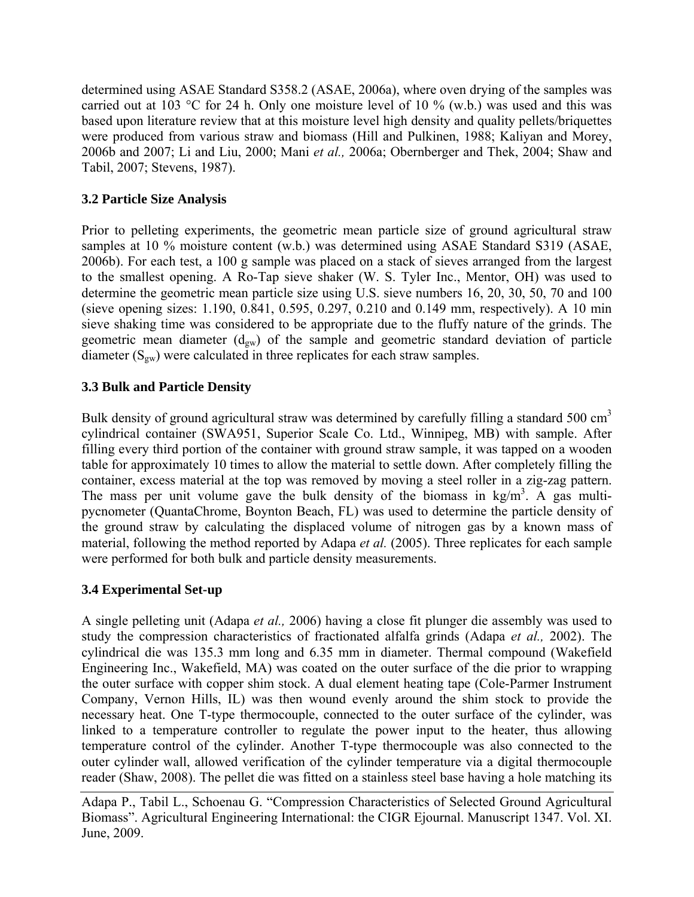determined using ASAE Standard S358.2 (ASAE, 2006a), where oven drying of the samples was carried out at 103 °C for 24 h. Only one moisture level of 10 % (w.b.) was used and this was based upon literature review that at this moisture level high density and quality pellets/briquettes were produced from various straw and biomass (Hill and Pulkinen, 1988; Kaliyan and Morey, 2006b and 2007; Li and Liu, 2000; Mani *et al.,* 2006a; Obernberger and Thek, 2004; Shaw and Tabil, 2007; Stevens, 1987).

# **3.2 Particle Size Analysis**

Prior to pelleting experiments, the geometric mean particle size of ground agricultural straw samples at 10 % moisture content (w.b.) was determined using ASAE Standard S319 (ASAE, 2006b). For each test, a 100 g sample was placed on a stack of sieves arranged from the largest to the smallest opening. A Ro-Tap sieve shaker (W. S. Tyler Inc., Mentor, OH) was used to determine the geometric mean particle size using U.S. sieve numbers 16, 20, 30, 50, 70 and 100 (sieve opening sizes: 1.190, 0.841, 0.595, 0.297, 0.210 and 0.149 mm, respectively). A 10 min sieve shaking time was considered to be appropriate due to the fluffy nature of the grinds. The geometric mean diameter  $(d_{gw})$  of the sample and geometric standard deviation of particle diameter  $(S_{gw})$  were calculated in three replicates for each straw samples.

# **3.3 Bulk and Particle Density**

Bulk density of ground agricultural straw was determined by carefully filling a standard 500  $\text{cm}^3$ cylindrical container (SWA951, Superior Scale Co. Ltd., Winnipeg, MB) with sample. After filling every third portion of the container with ground straw sample, it was tapped on a wooden table for approximately 10 times to allow the material to settle down. After completely filling the container, excess material at the top was removed by moving a steel roller in a zig-zag pattern. The mass per unit volume gave the bulk density of the biomass in  $kg/m<sup>3</sup>$ . A gas multipycnometer (QuantaChrome, Boynton Beach, FL) was used to determine the particle density of the ground straw by calculating the displaced volume of nitrogen gas by a known mass of material, following the method reported by Adapa *et al.* (2005). Three replicates for each sample were performed for both bulk and particle density measurements.

# **3.4 Experimental Set-up**

A single pelleting unit (Adapa *et al.,* 2006) having a close fit plunger die assembly was used to study the compression characteristics of fractionated alfalfa grinds (Adapa *et al.,* 2002). The cylindrical die was 135.3 mm long and 6.35 mm in diameter. Thermal compound (Wakefield Engineering Inc., Wakefield, MA) was coated on the outer surface of the die prior to wrapping the outer surface with copper shim stock. A dual element heating tape (Cole-Parmer Instrument Company, Vernon Hills, IL) was then wound evenly around the shim stock to provide the necessary heat. One T-type thermocouple, connected to the outer surface of the cylinder, was linked to a temperature controller to regulate the power input to the heater, thus allowing temperature control of the cylinder. Another T-type thermocouple was also connected to the outer cylinder wall, allowed verification of the cylinder temperature via a digital thermocouple reader (Shaw, 2008). The pellet die was fitted on a stainless steel base having a hole matching its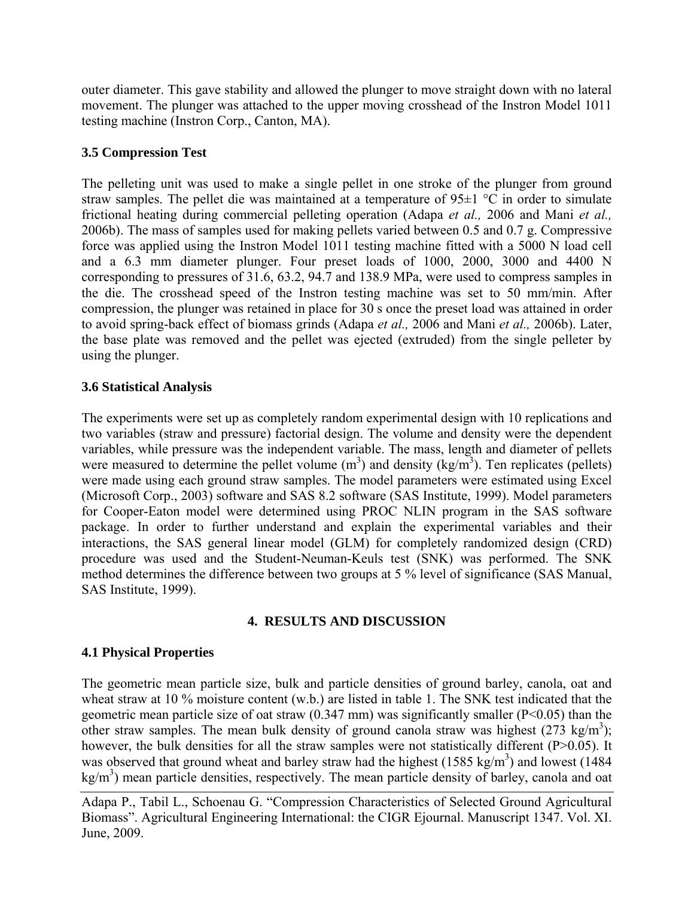outer diameter. This gave stability and allowed the plunger to move straight down with no lateral movement. The plunger was attached to the upper moving crosshead of the Instron Model 1011 testing machine (Instron Corp., Canton, MA).

# **3.5 Compression Test**

The pelleting unit was used to make a single pellet in one stroke of the plunger from ground straw samples. The pellet die was maintained at a temperature of  $95\pm1$  °C in order to simulate frictional heating during commercial pelleting operation (Adapa *et al.,* 2006 and Mani *et al.,*  2006b). The mass of samples used for making pellets varied between 0.5 and 0.7 g. Compressive force was applied using the Instron Model 1011 testing machine fitted with a 5000 N load cell and a 6.3 mm diameter plunger. Four preset loads of 1000, 2000, 3000 and 4400 N corresponding to pressures of 31.6, 63.2, 94.7 and 138.9 MPa, were used to compress samples in the die. The crosshead speed of the Instron testing machine was set to 50 mm/min. After compression, the plunger was retained in place for 30 s once the preset load was attained in order to avoid spring-back effect of biomass grinds (Adapa *et al.,* 2006 and Mani *et al.,* 2006b). Later, the base plate was removed and the pellet was ejected (extruded) from the single pelleter by using the plunger.

# **3.6 Statistical Analysis**

The experiments were set up as completely random experimental design with 10 replications and two variables (straw and pressure) factorial design. The volume and density were the dependent variables, while pressure was the independent variable. The mass, length and diameter of pellets were measured to determine the pellet volume  $(m^3)$  and density  $(kg/m^3)$ . Ten replicates (pellets) were made using each ground straw samples. The model parameters were estimated using Excel (Microsoft Corp., 2003) software and SAS 8.2 software (SAS Institute, 1999). Model parameters for Cooper-Eaton model were determined using PROC NLIN program in the SAS software package. In order to further understand and explain the experimental variables and their interactions, the SAS general linear model (GLM) for completely randomized design (CRD) procedure was used and the Student-Neuman-Keuls test (SNK) was performed. The SNK method determines the difference between two groups at 5 % level of significance (SAS Manual, SAS Institute, 1999).

# **4. RESULTS AND DISCUSSION**

# **4.1 Physical Properties**

The geometric mean particle size, bulk and particle densities of ground barley, canola, oat and wheat straw at 10 % moisture content (w.b.) are listed in table 1. The SNK test indicated that the geometric mean particle size of oat straw (0.347 mm) was significantly smaller (P<0.05) than the other straw samples. The mean bulk density of ground canola straw was highest  $(273 \text{ kg/m}^3)$ ; however, the bulk densities for all the straw samples were not statistically different (P>0.05). It was observed that ground wheat and barley straw had the highest (1585 kg/m<sup>3</sup>) and lowest (1484) kg/m<sup>3</sup>) mean particle densities, respectively. The mean particle density of barley, canola and oat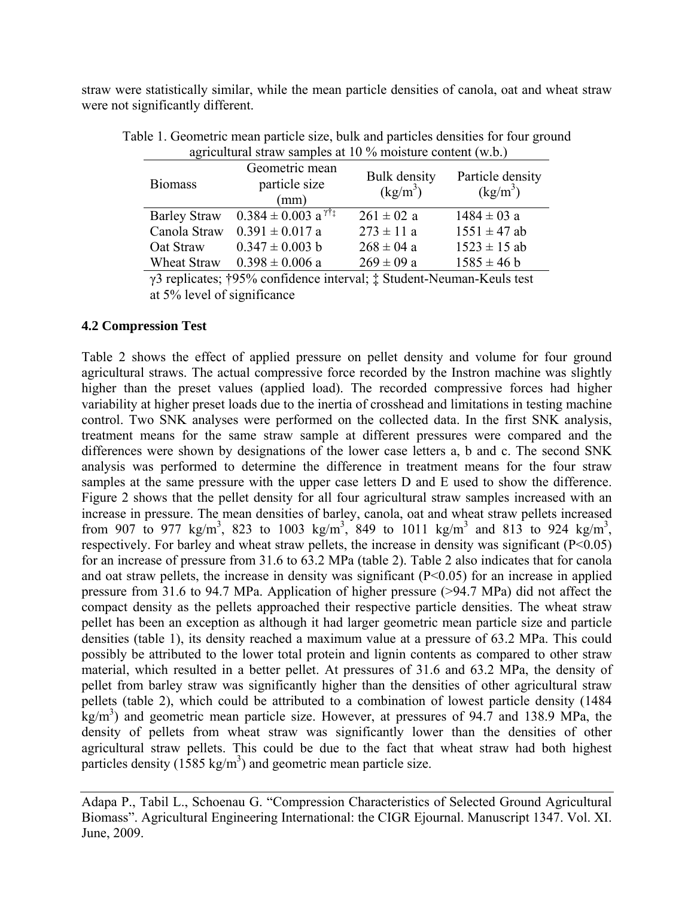straw were statistically similar, while the mean particle densities of canola, oat and wheat straw were not significantly different.

| <b>Biomass</b>              | Geometric mean<br>particle size<br>(mm)                    | <b>Bulk</b> density<br>$(kg/m^3)$ | Particle density<br>$\frac{\text{kg}}{\text{m}^3}$           |  |  |  |  |
|-----------------------------|------------------------------------------------------------|-----------------------------------|--------------------------------------------------------------|--|--|--|--|
| <b>Barley Straw</b>         | $0.384 \pm 0.003$ a <sup><math>\gamma \dagger</math></sup> | $261 \pm 02$ a                    | $1484 \pm 03$ a                                              |  |  |  |  |
| Canola Straw                | $0.391 \pm 0.017$ a                                        | $273 \pm 11$ a                    | $1551 \pm 47$ ab                                             |  |  |  |  |
| Oat Straw                   | $0.347 \pm 0.003$ b                                        | $268 \pm 04$ a                    | $1523 \pm 15$ ab                                             |  |  |  |  |
| Wheat Straw                 | $0.398 \pm 0.006$ a                                        | $269 \pm 09$ a                    | $1585 \pm 46$ b                                              |  |  |  |  |
| $\sim$ $\sim$ $\sim$ $\sim$ | $\bullet$ $\bullet$ $\bullet$ $\bullet$ $\bullet$          |                                   | $\mathbf{v}$ , where $\mathbf{v}$ is a set of $\mathbf{v}$ . |  |  |  |  |

Table 1. Geometric mean particle size, bulk and particles densities for four ground agricultural straw samples at 10 % moisture content (w.b.)

γ3 replicates; †95% confidence interval; ‡ Student-Neuman-Keuls test at 5% level of significance

#### **4.2 Compression Test**

Table 2 shows the effect of applied pressure on pellet density and volume for four ground agricultural straws. The actual compressive force recorded by the Instron machine was slightly higher than the preset values (applied load). The recorded compressive forces had higher variability at higher preset loads due to the inertia of crosshead and limitations in testing machine control. Two SNK analyses were performed on the collected data. In the first SNK analysis, treatment means for the same straw sample at different pressures were compared and the differences were shown by designations of the lower case letters a, b and c. The second SNK analysis was performed to determine the difference in treatment means for the four straw samples at the same pressure with the upper case letters D and E used to show the difference. Figure 2 shows that the pellet density for all four agricultural straw samples increased with an increase in pressure. The mean densities of barley, canola, oat and wheat straw pellets increased from 907 to 977 kg/m<sup>3</sup>, 823 to 1003 kg/m<sup>3</sup>, 849 to 1011 kg/m<sup>3</sup> and 813 to 924 kg/m<sup>3</sup>, respectively. For barley and wheat straw pellets, the increase in density was significant  $(P<0.05)$ for an increase of pressure from 31.6 to 63.2 MPa (table 2). Table 2 also indicates that for canola and oat straw pellets, the increase in density was significant  $(P<0.05)$  for an increase in applied pressure from 31.6 to 94.7 MPa. Application of higher pressure (>94.7 MPa) did not affect the compact density as the pellets approached their respective particle densities. The wheat straw pellet has been an exception as although it had larger geometric mean particle size and particle densities (table 1), its density reached a maximum value at a pressure of 63.2 MPa. This could possibly be attributed to the lower total protein and lignin contents as compared to other straw material, which resulted in a better pellet. At pressures of 31.6 and 63.2 MPa, the density of pellet from barley straw was significantly higher than the densities of other agricultural straw pellets (table 2), which could be attributed to a combination of lowest particle density (1484  $kg/m<sup>3</sup>$ ) and geometric mean particle size. However, at pressures of 94.7 and 138.9 MPa, the density of pellets from wheat straw was significantly lower than the densities of other agricultural straw pellets. This could be due to the fact that wheat straw had both highest particles density  $(1585 \text{ kg/m}^3)$  and geometric mean particle size.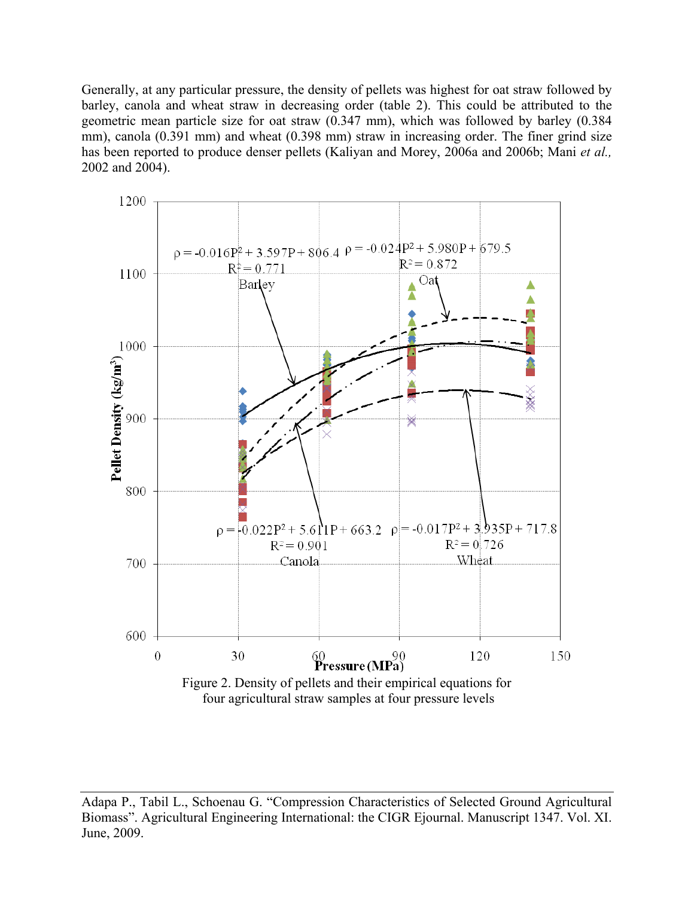Generally, at any particular pressure, the density of pellets was highest for oat straw followed by barley, canola and wheat straw in decreasing order (table 2). This could be attributed to the geometric mean particle size for oat straw (0.347 mm), which was followed by barley (0.384 mm), canola (0.391 mm) and wheat (0.398 mm) straw in increasing order. The finer grind size has been reported to produce denser pellets (Kaliyan and Morey, 2006a and 2006b; Mani *et al.,* 2002 and 2004).



Adapa P., Tabil L., Schoenau G. "Compression Characteristics of Selected Ground Agricultural Biomass". Agricultural Engineering International: the CIGR Ejournal. Manuscript 1347. Vol. XI. June, 2009.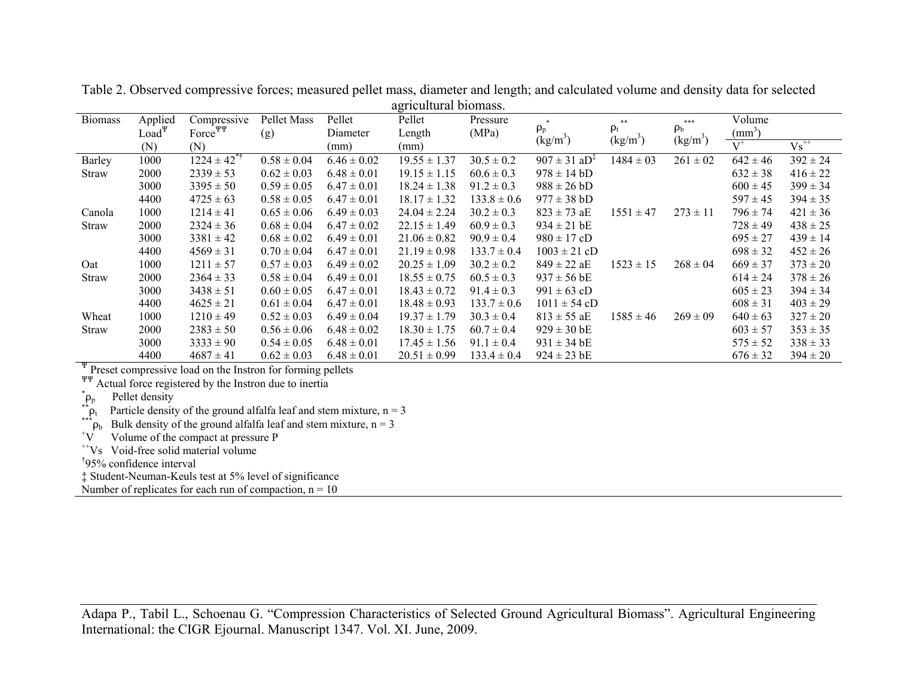| agricultural officialistic                                                   |            |                     |                 |                 |                  |                 |                                        |                                        |                                        |                 |              |
|------------------------------------------------------------------------------|------------|---------------------|-----------------|-----------------|------------------|-----------------|----------------------------------------|----------------------------------------|----------------------------------------|-----------------|--------------|
| <b>Biomass</b>                                                               | Applied    | Compressive         | Pellet Mass     | Pellet          | Pellet           | Pressure        |                                        | **                                     | $***$                                  | Volume          |              |
|                                                                              | $Load\Psi$ | Force <sup>PP</sup> | (g)             | Diameter        | Length           | (MPa)           | $\rho_{\rm p}$<br>(kg/m <sup>3</sup> ) | $\rho_{\rm t}$<br>(kg/m <sup>3</sup> ) | $\rho_{\rm b}$<br>(kg/m <sup>3</sup> ) | $\text{mm}^3$ ) |              |
|                                                                              | (N)        | (N)                 |                 | (mm)            | (mm)             |                 |                                        |                                        |                                        | $V^+$           | $Vs^{++}$    |
| Barley                                                                       | 1000       | $1224 \pm 42^{*1}$  | $0.58 \pm 0.04$ | $6.46 \pm 0.02$ | $19.55 \pm 1.37$ | $30.5 \pm 0.2$  | $907 \pm 31$ aD <sup>‡</sup>           | $1484 \pm 03$                          | $261 \pm 02$                           | $642 \pm 46$    | $392 \pm 24$ |
| Straw                                                                        | 2000       | $2339 \pm 53$       | $0.62 \pm 0.03$ | $6.48 \pm 0.01$ | $19.15 \pm 1.15$ | $60.6 \pm 0.3$  | $978 \pm 14$ bD                        |                                        |                                        | $632 \pm 38$    | $416 \pm 22$ |
|                                                                              | 3000       | $3395 \pm 50$       | $0.59 \pm 0.05$ | $6.47 \pm 0.01$ | $18.24 \pm 1.38$ | $91.2 \pm 0.3$  | $988 \pm 26$ bD                        |                                        |                                        | $600 \pm 45$    | $399 \pm 34$ |
|                                                                              | 4400       | $4725 \pm 63$       | $0.58 \pm 0.05$ | $6.47 \pm 0.01$ | $18.17 \pm 1.32$ | $133.8 \pm 0.6$ | $977 \pm 38 \text{ bD}$                |                                        |                                        | $597 \pm 45$    | $394 \pm 35$ |
| Canola                                                                       | 1000       | $1214 \pm 41$       | $0.65 \pm 0.06$ | $6.49 \pm 0.03$ | $24.04 \pm 2.24$ | $30.2 \pm 0.3$  | $823 \pm 73$ aE                        | $1551 \pm 47$                          | $273 \pm 11$                           | $796 \pm 74$    | $421 \pm 36$ |
| Straw                                                                        | 2000       | $2324 \pm 36$       | $0.68 \pm 0.04$ | $6.47 \pm 0.02$ | $22.15 \pm 1.49$ | $60.9 \pm 0.3$  | $934 \pm 21$ bE                        |                                        |                                        | $728 \pm 49$    | $438 \pm 25$ |
|                                                                              | 3000       | $3381 \pm 42$       | $0.68 \pm 0.02$ | $6.49 \pm 0.01$ | $21.06 \pm 0.82$ | $90.9 \pm 0.4$  | $980 \pm 17$ cD                        |                                        |                                        | $695 \pm 27$    | $439 \pm 14$ |
|                                                                              | 4400       | $4569 \pm 31$       | $0.70 \pm 0.04$ | $6.47 \pm 0.01$ | $21.19 \pm 0.98$ | $133.7 \pm 0.4$ | $1003 \pm 21$ cD                       |                                        |                                        | $698 \pm 32$    | $452 \pm 26$ |
| Oat                                                                          | 1000       | $1211 \pm 57$       | $0.57 \pm 0.03$ | $6.49 \pm 0.02$ | $20.25 \pm 1.09$ | $30.2 \pm 0.2$  | $849 \pm 22 \text{ aE}$                | $1523 \pm 15$                          | $268 \pm 04$                           | $669 \pm 37$    | $373 \pm 20$ |
| Straw                                                                        | 2000       | $2364 \pm 33$       | $0.58 \pm 0.04$ | $6.49 \pm 0.01$ | $18.55 \pm 0.75$ | $60.5 \pm 0.3$  | $937 \pm 56$ bE                        |                                        |                                        | $614 \pm 24$    | $378 \pm 26$ |
|                                                                              | 3000       | $3438 \pm 51$       | $0.60 \pm 0.05$ | $6.47 \pm 0.01$ | $18.43 \pm 0.72$ | $91.4 \pm 0.3$  | $991 \pm 63$ cD                        |                                        |                                        | $605 \pm 23$    | $394 \pm 34$ |
|                                                                              | 4400       | $4625 \pm 21$       | $0.61 \pm 0.04$ | $6.47 \pm 0.01$ | $18.48 \pm 0.93$ | $133.7 \pm 0.6$ | $1011 \pm 54$ cD                       |                                        |                                        | $608 \pm 31$    | $403 \pm 29$ |
| Wheat                                                                        | 1000       | $1210 \pm 49$       | $0.52 \pm 0.03$ | $6.49 \pm 0.04$ | $19.37 \pm 1.79$ | $30.3 \pm 0.4$  | $813 \pm 55$ aE                        | $1585 \pm 46$                          | $269 \pm 09$                           | $640 \pm 63$    | $327 \pm 20$ |
| Straw                                                                        | 2000       | $2383 \pm 50$       | $0.56 \pm 0.06$ | $6.48 \pm 0.02$ | $18.30 \pm 1.75$ | $60.7 \pm 0.4$  | $929 \pm 30$ bE                        |                                        |                                        | $603 \pm 57$    | $353 \pm 35$ |
|                                                                              | 3000       | $3333 \pm 90$       | $0.54 \pm 0.05$ | $6.48 \pm 0.01$ | $17.45 \pm 1.56$ | $91.1 \pm 0.4$  | $931 \pm 34$ bE                        |                                        |                                        | $575 \pm 52$    | $338 \pm 33$ |
|                                                                              | 4400       | $4687 \pm 41$       | $0.62 \pm 0.03$ | $6.48 \pm 0.01$ | $20.51 \pm 0.99$ | $133.4 \pm 0.4$ | $924 \pm 23$ bE                        |                                        |                                        | $676 \pm 32$    | $394 \pm 20$ |
| $\overline{\Psi}$ Preset compressive load on the Instron for forming pellets |            |                     |                 |                 |                  |                 |                                        |                                        |                                        |                 |              |
|                                                                              |            |                     |                 |                 |                  |                 |                                        |                                        |                                        |                 |              |

Table 2. Observed compressive forces; measured pellet mass, diameter and length; and calculated volume and density data for selected agricultural biomass.

<sup>TT</sup> Actual force registered by the Instron due to inertia

\* Pellet density

 $\sum_{n=1}^{8} P_t$  Particle density of the ground alfalfa leaf and stem mixture, n = 3

 $\rho_b$  Bulk density of the ground alfalfa leaf and stem mixture, n = 3

 $V$  Volume of the compact at pressure P

++Vs Void-free solid material volume

†95% confidence interval

‡ Student-Neuman-Keuls test at 5% level of significance

Number of replicates for each run of compaction,  $n = 10$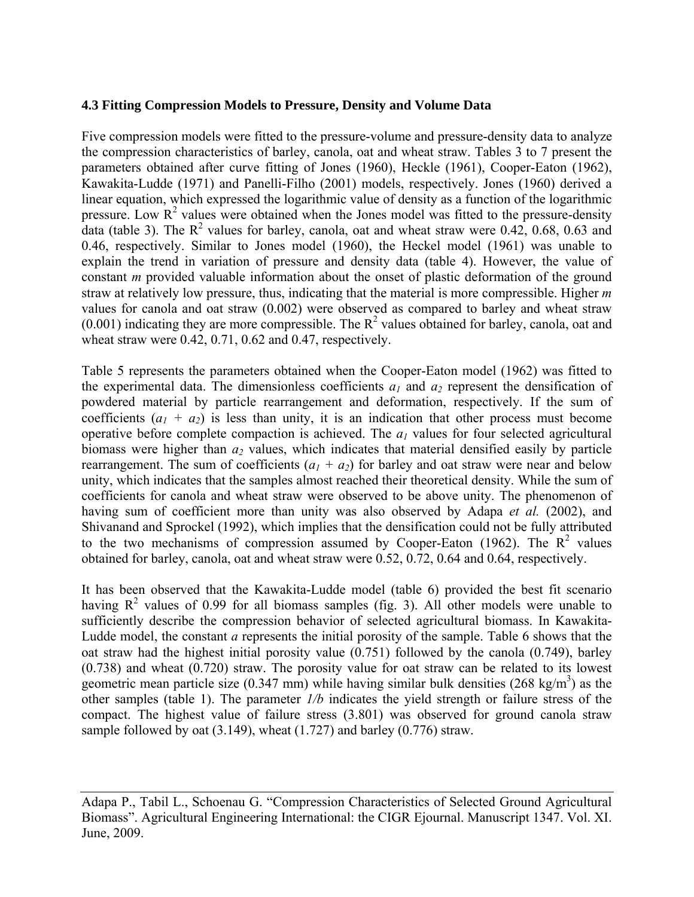## **4.3 Fitting Compression Models to Pressure, Density and Volume Data**

Five compression models were fitted to the pressure-volume and pressure-density data to analyze the compression characteristics of barley, canola, oat and wheat straw. Tables 3 to 7 present the parameters obtained after curve fitting of Jones (1960), Heckle (1961), Cooper-Eaton (1962), Kawakita-Ludde (1971) and Panelli-Filho (2001) models, respectively. Jones (1960) derived a linear equation, which expressed the logarithmic value of density as a function of the logarithmic pressure. Low  $\mathbb{R}^2$  values were obtained when the Jones model was fitted to the pressure-density data (table 3). The  $R^2$  values for barley, canola, oat and wheat straw were 0.42, 0.68, 0.63 and 0.46, respectively. Similar to Jones model (1960), the Heckel model (1961) was unable to explain the trend in variation of pressure and density data (table 4). However, the value of constant *m* provided valuable information about the onset of plastic deformation of the ground straw at relatively low pressure, thus, indicating that the material is more compressible. Higher *m* values for canola and oat straw (0.002) were observed as compared to barley and wheat straw  $(0.001)$  indicating they are more compressible. The  $R<sup>2</sup>$  values obtained for barley, canola, oat and wheat straw were 0.42, 0.71, 0.62 and 0.47, respectively.

Table 5 represents the parameters obtained when the Cooper-Eaton model (1962) was fitted to the experimental data. The dimensionless coefficients  $a_1$  and  $a_2$  represent the densification of powdered material by particle rearrangement and deformation, respectively. If the sum of coefficients  $(a_1 + a_2)$  is less than unity, it is an indication that other process must become operative before complete compaction is achieved. The  $a<sub>l</sub>$  values for four selected agricultural biomass were higher than  $a_2$  values, which indicates that material densified easily by particle rearrangement. The sum of coefficients  $(a_1 + a_2)$  for barley and oat straw were near and below unity, which indicates that the samples almost reached their theoretical density. While the sum of coefficients for canola and wheat straw were observed to be above unity. The phenomenon of having sum of coefficient more than unity was also observed by Adapa *et al.* (2002), and Shivanand and Sprockel (1992), which implies that the densification could not be fully attributed to the two mechanisms of compression assumed by Cooper-Eaton (1962). The  $R^2$  values obtained for barley, canola, oat and wheat straw were 0.52, 0.72, 0.64 and 0.64, respectively.

It has been observed that the Kawakita-Ludde model (table 6) provided the best fit scenario having  $R^2$  values of 0.99 for all biomass samples (fig. 3). All other models were unable to sufficiently describe the compression behavior of selected agricultural biomass. In Kawakita-Ludde model, the constant *a* represents the initial porosity of the sample. Table 6 shows that the oat straw had the highest initial porosity value (0.751) followed by the canola (0.749), barley (0.738) and wheat (0.720) straw. The porosity value for oat straw can be related to its lowest geometric mean particle size (0.347 mm) while having similar bulk densities (268 kg/m<sup>3</sup>) as the other samples (table 1). The parameter *1/b* indicates the yield strength or failure stress of the compact. The highest value of failure stress (3.801) was observed for ground canola straw sample followed by oat (3.149), wheat (1.727) and barley (0.776) straw.

Adapa P., Tabil L., Schoenau G. "Compression Characteristics of Selected Ground Agricultural Biomass". Agricultural Engineering International: the CIGR Ejournal. Manuscript 1347. Vol. XI. June, 2009.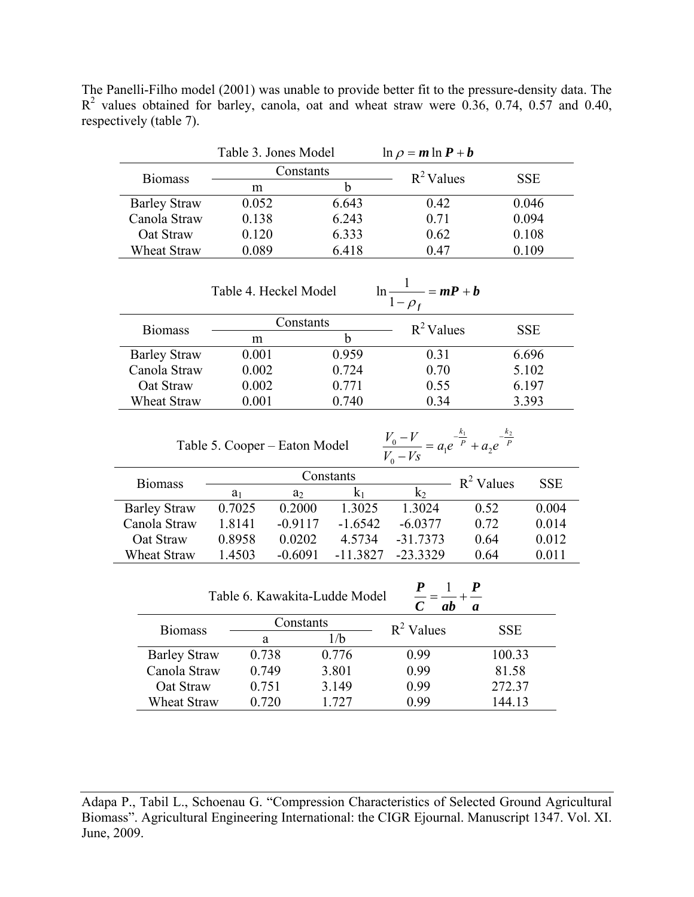The Panelli-Filho model (2001) was unable to provide better fit to the pressure-density data. The  $R<sup>2</sup>$  values obtained for barley, canola, oat and wheat straw were 0.36, 0.74, 0.57 and 0.40, respectively (table 7).

|                                                            | Table 3. Jones Model          |                |                | $\ln \rho = m \ln P + b$                                                     |                      |            |  |
|------------------------------------------------------------|-------------------------------|----------------|----------------|------------------------------------------------------------------------------|----------------------|------------|--|
|                                                            | Constants                     |                |                | $R^2$ Values                                                                 |                      |            |  |
| <b>Biomass</b>                                             | $\mathbf b$<br>m              |                |                |                                                                              |                      | <b>SSE</b> |  |
| <b>Barley Straw</b>                                        | 0.052                         |                | 6.643          | 0.42                                                                         |                      | 0.046      |  |
| Canola Straw                                               | 0.138                         |                | 6.243          | 0.71                                                                         |                      | 0.094      |  |
| Oat Straw                                                  | 0.120                         |                | 6.333          | 0.62                                                                         | 0.108                |            |  |
| Wheat Straw                                                | 0.089                         |                | 6.418          | 0.47                                                                         |                      | 0.109      |  |
|                                                            |                               |                |                |                                                                              |                      |            |  |
|                                                            |                               |                |                |                                                                              |                      |            |  |
| $\ln \frac{1}{1-\rho_f} = mP + b$<br>Table 4. Heckel Model |                               |                |                |                                                                              |                      |            |  |
| <b>Biomass</b>                                             | Constants                     |                |                | $R^2$ Values                                                                 |                      | <b>SSE</b> |  |
|                                                            | m                             |                | $\mathbf b$    |                                                                              |                      |            |  |
| <b>Barley Straw</b>                                        | 0.001                         |                | 0.959          | 0.31                                                                         |                      | 6.696      |  |
| Canola Straw                                               | 0.002                         |                | 0.724          | 0.70                                                                         |                      | 5.102      |  |
| Oat Straw                                                  | 0.002                         |                | 0.771          | 0.55                                                                         |                      | 6.197      |  |
| Wheat Straw                                                | 0.001                         |                | 0.740          | 0.34                                                                         |                      | 3.393      |  |
|                                                            |                               |                |                |                                                                              |                      |            |  |
|                                                            |                               |                |                |                                                                              |                      |            |  |
|                                                            | Table 5. Cooper – Eaton Model |                |                | $\frac{V_0 - V}{V_0 - Vs} = a_1 e^{-\frac{k_1}{p}} + a_2 e^{-\frac{k_2}{p}}$ |                      |            |  |
|                                                            |                               |                | Constants      |                                                                              |                      |            |  |
| <b>Biomass</b>                                             | $a_1$                         | a <sub>2</sub> | k <sub>1</sub> | k <sub>2</sub>                                                               | $\frac{1}{2}$ Values | <b>SSE</b> |  |
| <b>Barley Straw</b>                                        | 0.7025                        | 0.2000         | 1.3025         | 1.3024                                                                       | 0.52                 | 0.004      |  |
| Canola Straw                                               | 1.8141                        | $-0.9117$      | $-1.6542$      | $-6.0377$                                                                    | 0.72                 | 0.014      |  |
| Oat Straw                                                  | 0.8958                        | 0.0202         | 4.5734         | $-31.7373$                                                                   | 0.64                 | 0.012      |  |
| Wheat Straw                                                | 1.4503                        | $-0.6091$      | $-11.3827$     | $-23.3329$                                                                   | 0.64                 | 0.011      |  |
|                                                            |                               |                |                |                                                                              |                      |            |  |
| Table 6. Kawakita-Ludde Model                              |                               |                |                |                                                                              |                      |            |  |
| $\frac{P}{C} = \frac{1}{ab} + \frac{P}{a}$                 |                               |                |                |                                                                              |                      |            |  |
| <b>Biomass</b>                                             | Constants<br>1/b<br>a         |                |                | $R^2$ Values                                                                 | <b>SSE</b>           |            |  |
|                                                            |                               |                |                |                                                                              |                      |            |  |
| <b>Barley Straw</b>                                        |                               | 0.738<br>0.776 |                | 0.99                                                                         | 100.33               |            |  |
| Canola Straw                                               | 0.749                         |                | 3.801          | 0.99                                                                         | 81.58                |            |  |
| Oat Straw                                                  | 0.751                         |                | 3.149          | 0.99                                                                         | 272.37               |            |  |
| Wheat Straw                                                | 0.720                         |                | 1.727          | 0.99                                                                         | 144.13               |            |  |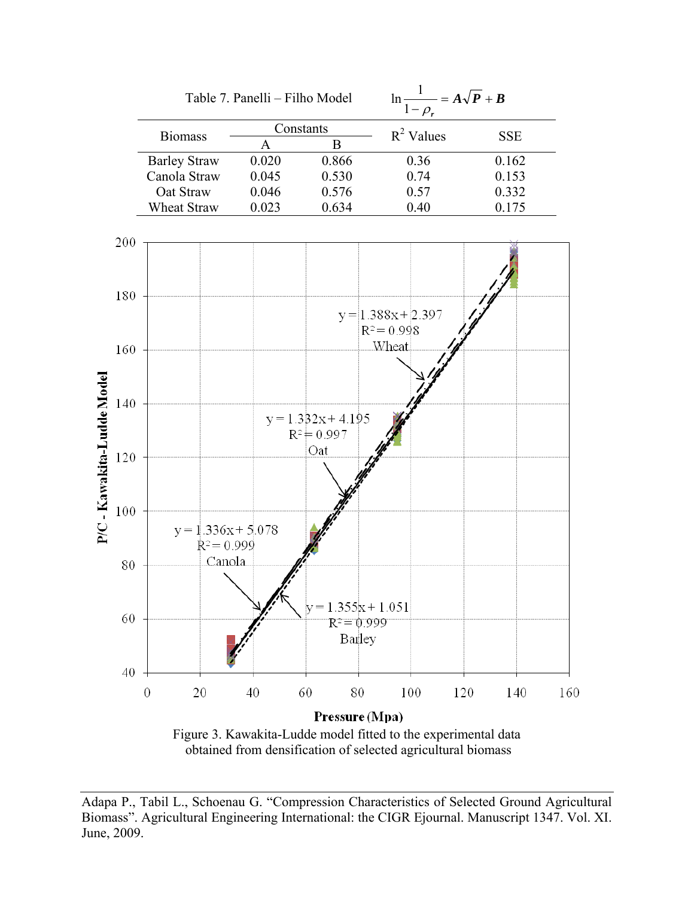

Figure 3. Kawakita-Ludde model fitted to the experimental data obtained from densification of selected agricultural biomass

Adapa P., Tabil L., Schoenau G. "Compression Characteristics of Selected Ground Agricultural Biomass". Agricultural Engineering International: the CIGR Ejournal. Manuscript 1347. Vol. XI. June, 2009.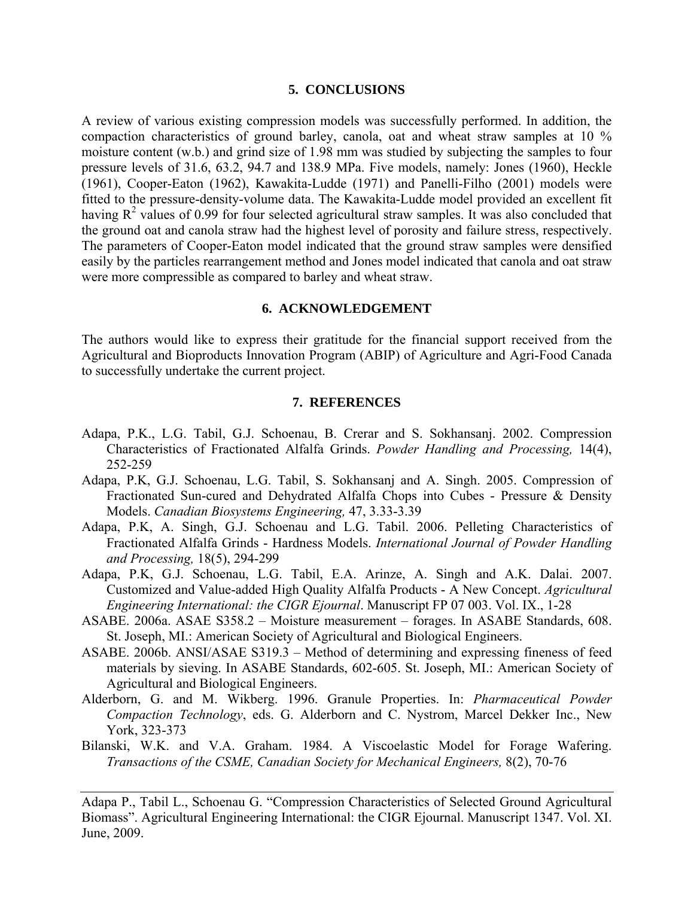#### **5. CONCLUSIONS**

A review of various existing compression models was successfully performed. In addition, the compaction characteristics of ground barley, canola, oat and wheat straw samples at 10 % moisture content (w.b.) and grind size of 1.98 mm was studied by subjecting the samples to four pressure levels of 31.6, 63.2, 94.7 and 138.9 MPa. Five models, namely: Jones (1960), Heckle (1961), Cooper-Eaton (1962), Kawakita-Ludde (1971) and Panelli-Filho (2001) models were fitted to the pressure-density-volume data. The Kawakita-Ludde model provided an excellent fit having  $R^2$  values of 0.99 for four selected agricultural straw samples. It was also concluded that the ground oat and canola straw had the highest level of porosity and failure stress, respectively. The parameters of Cooper-Eaton model indicated that the ground straw samples were densified easily by the particles rearrangement method and Jones model indicated that canola and oat straw were more compressible as compared to barley and wheat straw.

#### **6. ACKNOWLEDGEMENT**

The authors would like to express their gratitude for the financial support received from the Agricultural and Bioproducts Innovation Program (ABIP) of Agriculture and Agri-Food Canada to successfully undertake the current project.

#### **7. REFERENCES**

- Adapa, P.K., L.G. Tabil, G.J. Schoenau, B. Crerar and S. Sokhansanj. 2002. Compression Characteristics of Fractionated Alfalfa Grinds. *Powder Handling and Processing,* 14(4), 252-259
- Adapa, P.K, G.J. Schoenau, L.G. Tabil, S. Sokhansanj and A. Singh. 2005. Compression of Fractionated Sun-cured and Dehydrated Alfalfa Chops into Cubes - Pressure & Density Models. *Canadian Biosystems Engineering,* 47, 3.33-3.39
- Adapa, P.K, A. Singh, G.J. Schoenau and L.G. Tabil. 2006. Pelleting Characteristics of Fractionated Alfalfa Grinds - Hardness Models. *International Journal of Powder Handling and Processing,* 18(5), 294-299
- Adapa, P.K, G.J. Schoenau, L.G. Tabil, E.A. Arinze, A. Singh and A.K. Dalai. 2007. Customized and Value-added High Quality Alfalfa Products - A New Concept. *Agricultural Engineering International: the CIGR Ejournal*. Manuscript FP 07 003. Vol. IX., 1-28
- ASABE. 2006a. ASAE S358.2 Moisture measurement forages. In ASABE Standards, 608. St. Joseph, MI.: American Society of Agricultural and Biological Engineers.
- ASABE. 2006b. ANSI/ASAE S319.3 Method of determining and expressing fineness of feed materials by sieving. In ASABE Standards, 602-605. St. Joseph, MI.: American Society of Agricultural and Biological Engineers.
- Alderborn, G. and M. Wikberg. 1996. Granule Properties. In: *Pharmaceutical Powder Compaction Technology*, eds. G. Alderborn and C. Nystrom, Marcel Dekker Inc., New York, 323-373
- Bilanski, W.K. and V.A. Graham. 1984. A Viscoelastic Model for Forage Wafering. *Transactions of the CSME, Canadian Society for Mechanical Engineers,* 8(2), 70-76

Adapa P., Tabil L., Schoenau G. "Compression Characteristics of Selected Ground Agricultural Biomass". Agricultural Engineering International: the CIGR Ejournal. Manuscript 1347. Vol. XI. June, 2009.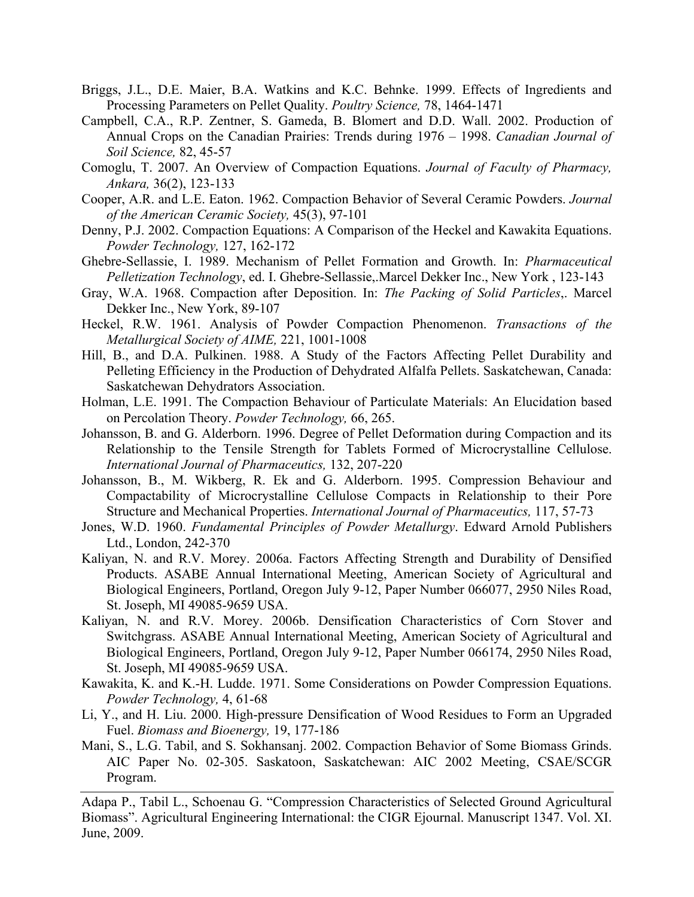- Briggs, J.L., D.E. Maier, B.A. Watkins and K.C. Behnke. 1999. Effects of Ingredients and Processing Parameters on Pellet Quality. *Poultry Science,* 78, 1464-1471
- Campbell, C.A., R.P. Zentner, S. Gameda, B. Blomert and D.D. Wall. 2002. Production of Annual Crops on the Canadian Prairies: Trends during 1976 – 1998. *Canadian Journal of Soil Science,* 82, 45-57
- Comoglu, T. 2007. An Overview of Compaction Equations. *Journal of Faculty of Pharmacy, Ankara,* 36(2), 123-133
- Cooper, A.R. and L.E. Eaton. 1962. Compaction Behavior of Several Ceramic Powders. *Journal of the American Ceramic Society,* 45(3), 97-101
- Denny, P.J. 2002. Compaction Equations: A Comparison of the Heckel and Kawakita Equations. *Powder Technology,* 127, 162-172
- Ghebre-Sellassie, I. 1989. Mechanism of Pellet Formation and Growth. In: *Pharmaceutical Pelletization Technology*, ed. I. Ghebre-Sellassie,.Marcel Dekker Inc., New York , 123-143
- Gray, W.A. 1968. Compaction after Deposition. In: *The Packing of Solid Particles*,. Marcel Dekker Inc., New York, 89-107
- Heckel, R.W. 1961. Analysis of Powder Compaction Phenomenon. *Transactions of the Metallurgical Society of AIME,* 221, 1001-1008
- Hill, B., and D.A. Pulkinen. 1988. A Study of the Factors Affecting Pellet Durability and Pelleting Efficiency in the Production of Dehydrated Alfalfa Pellets. Saskatchewan, Canada: Saskatchewan Dehydrators Association.
- Holman, L.E. 1991. The Compaction Behaviour of Particulate Materials: An Elucidation based on Percolation Theory. *Powder Technology,* 66, 265.
- Johansson, B. and G. Alderborn. 1996. Degree of Pellet Deformation during Compaction and its Relationship to the Tensile Strength for Tablets Formed of Microcrystalline Cellulose. *International Journal of Pharmaceutics,* 132, 207-220
- Johansson, B., M. Wikberg, R. Ek and G. Alderborn. 1995. Compression Behaviour and Compactability of Microcrystalline Cellulose Compacts in Relationship to their Pore Structure and Mechanical Properties. *International Journal of Pharmaceutics,* 117, 57-73
- Jones, W.D. 1960. *Fundamental Principles of Powder Metallurgy*. Edward Arnold Publishers Ltd., London, 242-370
- Kaliyan, N. and R.V. Morey. 2006a. Factors Affecting Strength and Durability of Densified Products. ASABE Annual International Meeting, American Society of Agricultural and Biological Engineers, Portland, Oregon July 9-12, Paper Number 066077, 2950 Niles Road, St. Joseph, MI 49085-9659 USA.
- Kaliyan, N. and R.V. Morey. 2006b. Densification Characteristics of Corn Stover and Switchgrass. ASABE Annual International Meeting, American Society of Agricultural and Biological Engineers, Portland, Oregon July 9-12, Paper Number 066174, 2950 Niles Road, St. Joseph, MI 49085-9659 USA.
- Kawakita, K. and K.-H. Ludde. 1971. Some Considerations on Powder Compression Equations. *Powder Technology,* 4, 61-68
- Li, Y., and H. Liu. 2000. High-pressure Densification of Wood Residues to Form an Upgraded Fuel. *Biomass and Bioenergy,* 19, 177-186
- Mani, S., L.G. Tabil, and S. Sokhansanj. 2002. Compaction Behavior of Some Biomass Grinds. AIC Paper No. 02-305. Saskatoon, Saskatchewan: AIC 2002 Meeting, CSAE/SCGR Program.

Adapa P., Tabil L., Schoenau G. "Compression Characteristics of Selected Ground Agricultural Biomass". Agricultural Engineering International: the CIGR Ejournal. Manuscript 1347. Vol. XI. June, 2009.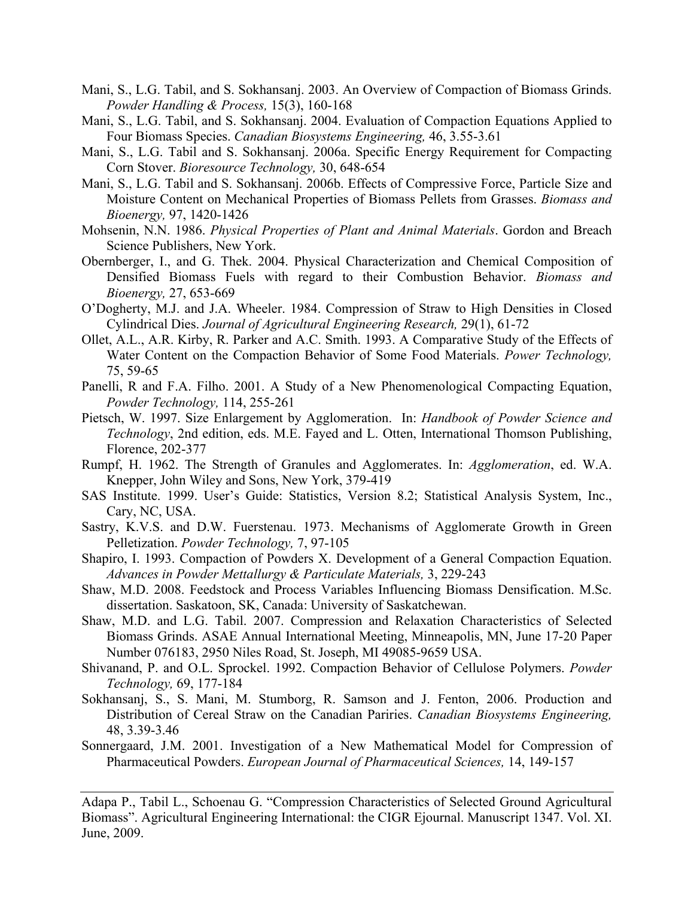- Mani, S., L.G. Tabil, and S. Sokhansanj. 2003. An Overview of Compaction of Biomass Grinds. *Powder Handling & Process,* 15(3), 160-168
- Mani, S., L.G. Tabil, and S. Sokhansanj. 2004. Evaluation of Compaction Equations Applied to Four Biomass Species. *Canadian Biosystems Engineering,* 46, 3.55-3.61
- Mani, S., L.G. Tabil and S. Sokhansanj. 2006a. Specific Energy Requirement for Compacting Corn Stover. *Bioresource Technology,* 30, 648-654
- Mani, S., L.G. Tabil and S. Sokhansanj. 2006b. Effects of Compressive Force, Particle Size and Moisture Content on Mechanical Properties of Biomass Pellets from Grasses. *Biomass and Bioenergy,* 97, 1420-1426
- Mohsenin, N.N. 1986. *Physical Properties of Plant and Animal Materials*. Gordon and Breach Science Publishers, New York.
- Obernberger, I., and G. Thek. 2004. Physical Characterization and Chemical Composition of Densified Biomass Fuels with regard to their Combustion Behavior. *Biomass and Bioenergy,* 27, 653-669
- O'Dogherty, M.J. and J.A. Wheeler. 1984. Compression of Straw to High Densities in Closed Cylindrical Dies. *Journal of Agricultural Engineering Research,* 29(1), 61-72
- Ollet, A.L., A.R. Kirby, R. Parker and A.C. Smith. 1993. A Comparative Study of the Effects of Water Content on the Compaction Behavior of Some Food Materials. *Power Technology,* 75, 59-65
- Panelli, R and F.A. Filho. 2001. A Study of a New Phenomenological Compacting Equation, *Powder Technology,* 114, 255-261
- Pietsch, W. 1997. Size Enlargement by Agglomeration. In: *Handbook of Powder Science and Technology*, 2nd edition, eds. M.E. Fayed and L. Otten, International Thomson Publishing, Florence, 202-377
- Rumpf, H. 1962. The Strength of Granules and Agglomerates. In: *Agglomeration*, ed. W.A. Knepper, John Wiley and Sons, New York, 379-419
- SAS Institute. 1999. User's Guide: Statistics, Version 8.2; Statistical Analysis System, Inc., Cary, NC, USA.
- Sastry, K.V.S. and D.W. Fuerstenau. 1973. Mechanisms of Agglomerate Growth in Green Pelletization. *Powder Technology,* 7, 97-105
- Shapiro, I. 1993. Compaction of Powders X. Development of a General Compaction Equation. *Advances in Powder Mettallurgy & Particulate Materials,* 3, 229-243
- Shaw, M.D. 2008. Feedstock and Process Variables Influencing Biomass Densification. M.Sc. dissertation. Saskatoon, SK, Canada: University of Saskatchewan.
- Shaw, M.D. and L.G. Tabil. 2007. Compression and Relaxation Characteristics of Selected Biomass Grinds. ASAE Annual International Meeting, Minneapolis, MN, June 17-20 Paper Number 076183, 2950 Niles Road, St. Joseph, MI 49085-9659 USA.
- Shivanand, P. and O.L. Sprockel. 1992. Compaction Behavior of Cellulose Polymers. *Powder Technology,* 69, 177-184
- Sokhansanj, S., S. Mani, M. Stumborg, R. Samson and J. Fenton, 2006. Production and Distribution of Cereal Straw on the Canadian Pariries. *Canadian Biosystems Engineering,* 48, 3.39-3.46
- Sonnergaard, J.M. 2001. Investigation of a New Mathematical Model for Compression of Pharmaceutical Powders. *European Journal of Pharmaceutical Sciences,* 14, 149-157

Adapa P., Tabil L., Schoenau G. "Compression Characteristics of Selected Ground Agricultural Biomass". Agricultural Engineering International: the CIGR Ejournal. Manuscript 1347. Vol. XI. June, 2009.